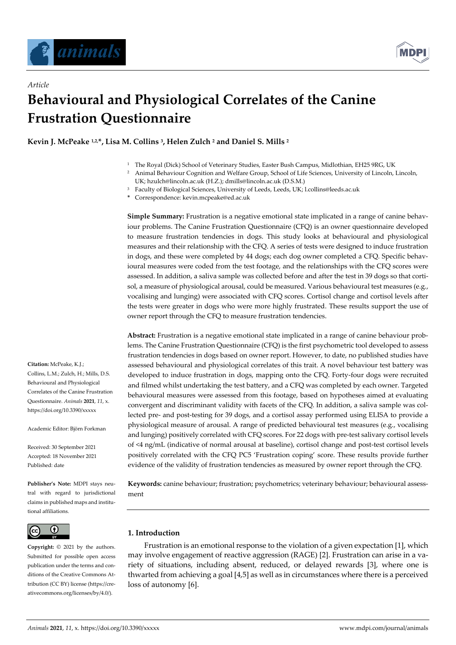

*Article*



# **Behavioural and Physiological Correlates of the Canine Frustration Questionnaire**

**Kevin J. McPeake 1,2,\*, Lisa M. Collins <sup>3</sup> , Helen Zulch <sup>2</sup> and Daniel S. Mills <sup>2</sup>**

- <sup>1</sup> The Royal (Dick) School of Veterinary Studies, Easter Bush Campus, Midlothian, EH25 9RG, UK
- <sup>2</sup> Animal Behaviour Cognition and Welfare Group, School of Life Sciences, University of Lincoln, Lincoln, UK[; hzulch@lincoln.ac.uk](mailto:hzulch@lincoln.ac.uk) (H.Z.); [dmills@lincoln.ac.uk](mailto:dmills@lincoln.ac.uk) (D.S.M.)
- <sup>3</sup> Faculty of Biological Sciences, University of Leeds, Leeds, UK; l.collins@leeds.ac.uk

**\*** Correspondence: kevin.mcpeake@ed.ac.uk

**Simple Summary:** Frustration is a negative emotional state implicated in a range of canine behaviour problems. The Canine Frustration Questionnaire (CFQ) is an owner questionnaire developed to measure frustration tendencies in dogs. This study looks at behavioural and physiological measures and their relationship with the CFQ. A series of tests were designed to induce frustration in dogs, and these were completed by 44 dogs; each dog owner completed a CFQ. Specific behavioural measures were coded from the test footage, and the relationships with the CFQ scores were assessed. In addition, a saliva sample was collected before and after the test in 39 dogs so that cortisol, a measure of physiological arousal, could be measured. Various behavioural test measures (e.g., vocalising and lunging) were associated with CFQ scores. Cortisol change and cortisol levels after the tests were greater in dogs who were more highly frustrated. These results support the use of owner report through the CFQ to measure frustration tendencies.

**Abstract:** Frustration is a negative emotional state implicated in a range of canine behaviour problems. The Canine Frustration Questionnaire (CFQ) is the first psychometric tool developed to assess frustration tendencies in dogs based on owner report. However, to date, no published studies have assessed behavioural and physiological correlates of this trait. A novel behaviour test battery was developed to induce frustration in dogs, mapping onto the CFQ. Forty-four dogs were recruited and filmed whilst undertaking the test battery, and a CFQ was completed by each owner. Targeted behavioural measures were assessed from this footage, based on hypotheses aimed at evaluating convergent and discriminant validity with facets of the CFQ. In addition, a saliva sample was collected pre- and post-testing for 39 dogs, and a cortisol assay performed using ELISA to provide a physiological measure of arousal. A range of predicted behavioural test measures (e.g., vocalising and lunging) positively correlated with CFQ scores. For 22 dogs with pre-test salivary cortisol levels of <4 ng/mL (indicative of normal arousal at baseline), cortisol change and post-test cortisol levels positively correlated with the CFQ PC5 'Frustration coping' score. These results provide further evidence of the validity of frustration tendencies as measured by owner report through the CFQ.

**Keywords:** canine behaviour; frustration; psychometrics; veterinary behaviour; behavioural assessment

# **1. Introduction**

Frustration is an emotional response to the violation of a given expectation [1], which may involve engagement of reactive aggression (RAGE) [2]. Frustration can arise in a variety of situations, including absent, reduced, or delayed rewards [3], where one is thwarted from achieving a goal [4,5] as well as in circumstances where there is a perceived loss of autonomy [6].

**Citation:** McPeake, K.J.; Collins, L.M.; Zulch, H.; Mills, D.S. Behavioural and Physiological Correlates of the Canine Frustration Questionnaire. *Animals* **2021**, *11*, x. https://doi.org/10.3390/xxxxx

Academic Editor: Björn Forkman

Received: 30 September 2021 Accepted: 18 November 2021 Published: date

**Publisher's Note:** MDPI stays neutral with regard to jurisdictional claims in published maps and institutional affiliations.



**Copyright:** © 2021 by the authors. Submitted for possible open access publication under the terms and conditions of the Creative Commons Attribution (CC BY) license (https://creativecommons.org/licenses/by/4.0/).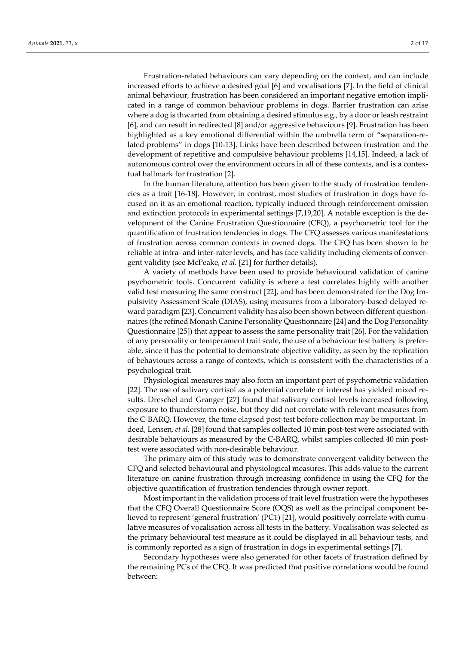Frustration-related behaviours can vary depending on the context, and can include increased efforts to achieve a desired goal [6] and vocalisations [7]. In the field of clinical animal behaviour, frustration has been considered an important negative emotion implicated in a range of common behaviour problems in dogs. Barrier frustration can arise where a dog is thwarted from obtaining a desired stimulus e.g., by a door or leash restraint [6], and can result in redirected [8] and/or aggressive behaviours [9]. Frustration has been highlighted as a key emotional differential within the umbrella term of "separation-related problems" in dogs [10-13]. Links have been described between frustration and the development of repetitive and compulsive behaviour problems [14,15]. Indeed, a lack of autonomous control over the environment occurs in all of these contexts, and is a contextual hallmark for frustration [2].

In the human literature, attention has been given to the study of frustration tendencies as a trait [16-18]. However, in contrast, most studies of frustration in dogs have focused on it as an emotional reaction, typically induced through reinforcement omission and extinction protocols in experimental settings [7,19,20]. A notable exception is the development of the Canine Frustration Questionnaire (CFQ), a psychometric tool for the quantification of frustration tendencies in dogs. The CFQ assesses various manifestations of frustration across common contexts in owned dogs. The CFQ has been shown to be reliable at intra- and inter-rater levels, and has face validity including elements of convergent validity (see McPeake*, et al.* [21] for further details).

A variety of methods have been used to provide behavioural validation of canine psychometric tools. Concurrent validity is where a test correlates highly with another valid test measuring the same construct [22], and has been demonstrated for the Dog Impulsivity Assessment Scale (DIAS), using measures from a laboratory-based delayed reward paradigm [23]. Concurrent validity has also been shown between different questionnaires (the refined Monash Canine Personality Questionnaire [24] and the Dog Personality Questionnaire [25]) that appear to assess the same personality trait [26]. For the validation of any personality or temperament trait scale, the use of a behaviour test battery is preferable, since it has the potential to demonstrate objective validity, as seen by the replication of behaviours across a range of contexts, which is consistent with the characteristics of a psychological trait.

Physiological measures may also form an important part of psychometric validation [22]. The use of salivary cortisol as a potential correlate of interest has yielded mixed results. Dreschel and Granger [27] found that salivary cortisol levels increased following exposure to thunderstorm noise, but they did not correlate with relevant measures from the C-BARQ. However, the time elapsed post-test before collection may be important. Indeed, Lensen*, et al.* [28] found that samples collected 10 min post-test were associated with desirable behaviours as measured by the C-BARQ, whilst samples collected 40 min posttest were associated with non-desirable behaviour.

The primary aim of this study was to demonstrate convergent validity between the CFQ and selected behavioural and physiological measures. This adds value to the current literature on canine frustration through increasing confidence in using the CFQ for the objective quantification of frustration tendencies through owner report.

Most important in the validation process of trait level frustration were the hypotheses that the CFQ Overall Questionnaire Score (OQS) as well as the principal component believed to represent 'general frustration' (PC1) [21], would positively correlate with cumulative measures of vocalisation across all tests in the battery. Vocalisation was selected as the primary behavioural test measure as it could be displayed in all behaviour tests, and is commonly reported as a sign of frustration in dogs in experimental settings [7].

Secondary hypotheses were also generated for other facets of frustration defined by the remaining PCs of the CFQ. It was predicted that positive correlations would be found between: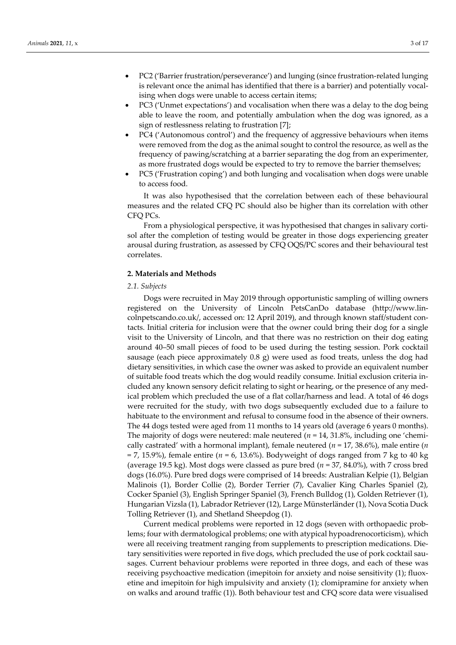- PC2 ('Barrier frustration/perseverance') and lunging (since frustration-related lunging is relevant once the animal has identified that there is a barrier) and potentially vocalising when dogs were unable to access certain items;
- PC3 ('Unmet expectations') and vocalisation when there was a delay to the dog being able to leave the room, and potentially ambulation when the dog was ignored, as a sign of restlessness relating to frustration [7];
- PC4 ('Autonomous control') and the frequency of aggressive behaviours when items were removed from the dog as the animal sought to control the resource, as well as the frequency of pawing/scratching at a barrier separating the dog from an experimenter, as more frustrated dogs would be expected to try to remove the barrier themselves;
- PC5 ('Frustration coping') and both lunging and vocalisation when dogs were unable to access food.

It was also hypothesised that the correlation between each of these behavioural measures and the related CFQ PC should also be higher than its correlation with other CFQ PCs.

From a physiological perspective, it was hypothesised that changes in salivary cortisol after the completion of testing would be greater in those dogs experiencing greater arousal during frustration, as assessed by CFQ OQS/PC scores and their behavioural test correlates.

## **2. Materials and Methods**

#### *2.1. Subjects*

Dogs were recruited in May 2019 through opportunistic sampling of willing owners registered on the University of Lincoln PetsCanDo database [\(http://www.lin](http://www.lincolnpetscando.co.uk/)[colnpetscando.co.uk/,](http://www.lincolnpetscando.co.uk/) accessed on: 12 April 2019), and through known staff/student contacts. Initial criteria for inclusion were that the owner could bring their dog for a single visit to the University of Lincoln, and that there was no restriction on their dog eating around 40–50 small pieces of food to be used during the testing session. Pork cocktail sausage (each piece approximately 0.8 g) were used as food treats, unless the dog had dietary sensitivities, in which case the owner was asked to provide an equivalent number of suitable food treats which the dog would readily consume. Initial exclusion criteria included any known sensory deficit relating to sight or hearing, or the presence of any medical problem which precluded the use of a flat collar/harness and lead. A total of 46 dogs were recruited for the study, with two dogs subsequently excluded due to a failure to habituate to the environment and refusal to consume food in the absence of their owners. The 44 dogs tested were aged from 11 months to 14 years old (average 6 years 0 months). The majority of dogs were neutered: male neutered ( $n = 14, 31.8\%$ , including one 'chemically castrated' with a hormonal implant), female neutered (*n* = 17, 38.6%), male entire (*n*  = 7, 15.9%), female entire (*n* = 6, 13.6%). Bodyweight of dogs ranged from 7 kg to 40 kg (average 19.5 kg). Most dogs were classed as pure bred (*n* = 37, 84.0%), with 7 cross bred dogs (16.0%). Pure bred dogs were comprised of 14 breeds: Australian Kelpie (1), Belgian Malinois (1), Border Collie (2), Border Terrier (7), Cavalier King Charles Spaniel (2), Cocker Spaniel (3), English Springer Spaniel (3), French Bulldog (1), Golden Retriever (1), Hungarian Vizsla (1), Labrador Retriever (12), Large Münsterländer (1), Nova Scotia Duck Tolling Retriever (1), and Shetland Sheepdog (1).

Current medical problems were reported in 12 dogs (seven with orthopaedic problems; four with dermatological problems; one with atypical hypoadrenocorticism), which were all receiving treatment ranging from supplements to prescription medications. Dietary sensitivities were reported in five dogs, which precluded the use of pork cocktail sausages. Current behaviour problems were reported in three dogs, and each of these was receiving psychoactive medication (imepitoin for anxiety and noise sensitivity (1); fluoxetine and imepitoin for high impulsivity and anxiety (1); clomipramine for anxiety when on walks and around traffic (1)). Both behaviour test and CFQ score data were visualised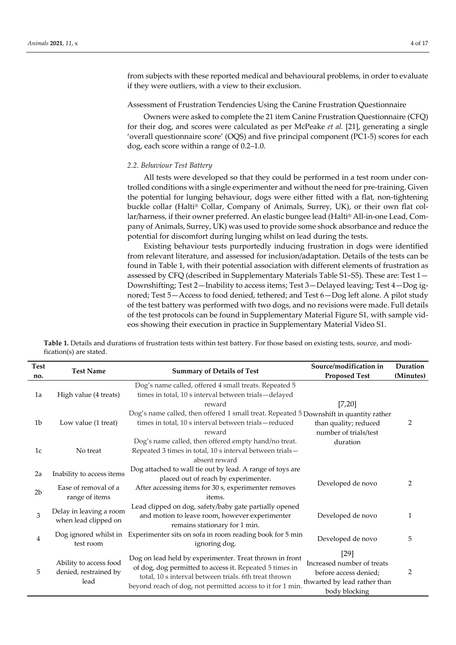from subjects with these reported medical and behavioural problems, in order to evaluate if they were outliers, with a view to their exclusion.

#### Assessment of Frustration Tendencies Using the Canine Frustration Questionnaire

Owners were asked to complete the 21 item Canine Frustration Questionnaire (CFQ) for their dog, and scores were calculated as per McPeake *et al.* [21], generating a single 'overall questionnaire score' (OQS) and five principal component (PC1-5) scores for each dog, each score within a range of 0.2–1.0.

#### *2.2. Behaviour Test Battery*

All tests were developed so that they could be performed in a test room under controlled conditions with a single experimenter and without the need for pre-training. Given the potential for lunging behaviour, dogs were either fitted with a flat, non-tightening buckle collar (Halti® Collar, Company of Animals, Surrey, UK), or their own flat collar/harness, if their owner preferred. An elastic bungee lead (Halti® All-in-one Lead, Company of Animals, Surrey, UK) was used to provide some shock absorbance and reduce the potential for discomfort during lunging whilst on lead during the tests.

Existing behaviour tests purportedly inducing frustration in dogs were identified from relevant literature, and assessed for inclusion/adaptation. Details of the tests can be found in Table 1, with their potential association with different elements of frustration as assessed by CFQ (described in Supplementary Materials Table S1–S5). These are: Test 1— Downshifting; Test 2—Inability to access items; Test 3—Delayed leaving; Test 4—Dog ignored; Test 5—Access to food denied, tethered; and Test 6—Dog left alone. A pilot study of the test battery was performed with two dogs, and no revisions were made. Full details of the test protocols can be found in Supplementary Material Figure S1, with sample videos showing their execution in practice in Supplementary Material Video S1.

| <b>Test</b>    | <b>Test Name</b>                                        |                                                                                                                                                                                                                                           | Source/modification in                                                                                         | Duration  |
|----------------|---------------------------------------------------------|-------------------------------------------------------------------------------------------------------------------------------------------------------------------------------------------------------------------------------------------|----------------------------------------------------------------------------------------------------------------|-----------|
| no.            |                                                         | <b>Summary of Details of Test</b>                                                                                                                                                                                                         | <b>Proposed Test</b>                                                                                           | (Minutes) |
| 1a             | High value (4 treats)                                   | Dog's name called, offered 4 small treats. Repeated 5<br>times in total, 10 s interval between trials-delayed<br>reward                                                                                                                   | [7,20]                                                                                                         |           |
| 1 <sub>b</sub> | Low value (1 treat)                                     | Dog's name called, then offered 1 small treat. Repeated 5 Downshift in quantity rather<br>times in total, 10 s interval between trials-reduced<br>reward                                                                                  | than quality; reduced<br>number of trials/test                                                                 | 2         |
| 1 <sub>c</sub> | No treat                                                | Dog's name called, then offered empty hand/no treat.<br>Repeated 3 times in total, 10 s interval between trials-<br>absent reward                                                                                                         | duration                                                                                                       |           |
| 2a             | Inability to access items                               | Dog attached to wall tie out by lead. A range of toys are<br>placed out of reach by experimenter.                                                                                                                                         |                                                                                                                |           |
| 2 <sub>b</sub> | Ease of removal of a<br>range of items                  | After accessing items for 30 s, experimenter removes<br>items.                                                                                                                                                                            | Developed de novo                                                                                              | 2         |
| 3              | Delay in leaving a room<br>when lead clipped on         | Lead clipped on dog, safety/baby gate partially opened<br>and motion to leave room, however experimenter<br>remains stationary for 1 min.                                                                                                 | Developed de novo                                                                                              | 1         |
| 4              | Dog ignored whilst in<br>test room                      | Experimenter sits on sofa in room reading book for 5 min<br>ignoring dog.                                                                                                                                                                 | Developed de novo                                                                                              | 5         |
| 5              | Ability to access food<br>denied, restrained by<br>lead | Dog on lead held by experimenter. Treat thrown in front<br>of dog, dog permitted to access it. Repeated 5 times in<br>total, 10 s interval between trials. 6th treat thrown<br>beyond reach of dog, not permitted access to it for 1 min. | $[29]$<br>Increased number of treats<br>before access denied;<br>thwarted by lead rather than<br>body blocking | 2         |

**Table 1.** Details and durations of frustration tests within test battery. For those based on existing tests, source, and modification(s) are stated.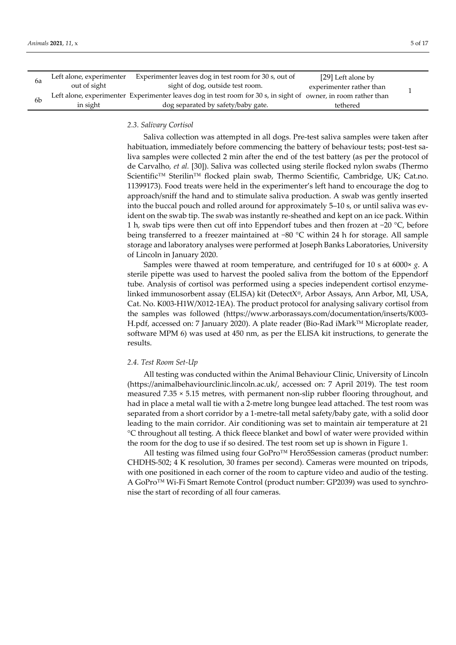| bа | Left alone, experimenter | Experimenter leaves dog in test room for 30 s, out of                                                          | [29] Left alone by       |  |
|----|--------------------------|----------------------------------------------------------------------------------------------------------------|--------------------------|--|
|    | out of sight             | sight of dog, outside test room.                                                                               | experimenter rather than |  |
| 6b |                          | Left alone, experimenter Experimenter leaves dog in test room for 30 s, in sight of owner, in room rather than |                          |  |
|    | in sight                 | dog separated by safety/baby gate.                                                                             | tethered                 |  |

## *2.3. Salivary Cortisol*

Saliva collection was attempted in all dogs. Pre-test saliva samples were taken after habituation, immediately before commencing the battery of behaviour tests; post-test saliva samples were collected 2 min after the end of the test battery (as per the protocol of de Carvalho*, et al.* [30]). Saliva was collected using sterile flocked nylon swabs (Thermo Scientific™ Sterilin™ flocked plain swab, Thermo Scientific, Cambridge, UK; Cat.no. 11399173). Food treats were held in the experimenter's left hand to encourage the dog to approach/sniff the hand and to stimulate saliva production. A swab was gently inserted into the buccal pouch and rolled around for approximately 5–10 s, or until saliva was evident on the swab tip. The swab was instantly re-sheathed and kept on an ice pack. Within 1 h, swab tips were then cut off into Eppendorf tubes and then frozen at −20 °C, before being transferred to a freezer maintained at −80 °C within 24 h for storage. All sample storage and laboratory analyses were performed at Joseph Banks Laboratories, University of Lincoln in January 2020.

Samples were thawed at room temperature, and centrifuged for 10 s at 6000× *g*. A sterile pipette was used to harvest the pooled saliva from the bottom of the Eppendorf tube. Analysis of cortisol was performed using a species independent cortisol enzymelinked immunosorbent assay (ELISA) kit (DetectX®, Arbor Assays, Ann Arbor, MI, USA, Cat. No. K003-H1W/X012-1EA). The product protocol for analysing salivary cortisol from the samples was followed [\(https://www.arborassays.com/documentation/inserts/K003-](https://www.arborassays.com/documentation/inserts/K003-H.pdf) [H.pdf,](https://www.arborassays.com/documentation/inserts/K003-H.pdf) accessed on: 7 January 2020). A plate reader (Bio-Rad iMarkTM Microplate reader, software MPM 6) was used at 450 nm, as per the ELISA kit instructions, to generate the results.

## *2.4. Test Room Set-Up*

All testing was conducted within the Animal Behaviour Clinic, University of Lincoln (https://animalbehaviourclinic.lincoln.ac.uk/, accessed on: 7 April 2019). The test room measured 7.35 × 5.15 metres, with permanent non-slip rubber flooring throughout, and had in place a metal wall tie with a 2-metre long bungee lead attached. The test room was separated from a short corridor by a 1-metre-tall metal safety/baby gate, with a solid door leading to the main corridor. Air conditioning was set to maintain air temperature at 21 °C throughout all testing. A thick fleece blanket and bowl of water were provided within the room for the dog to use if so desired. The test room set up is shown in Figure 1.

All testing was filmed using four GoPro™ Hero5Session cameras (product number: CHDHS-502; 4 K resolution, 30 frames per second). Cameras were mounted on tripods, with one positioned in each corner of the room to capture video and audio of the testing. A GoPro™ Wi-Fi Smart Remote Control (product number: GP2039) was used to synchronise the start of recording of all four cameras.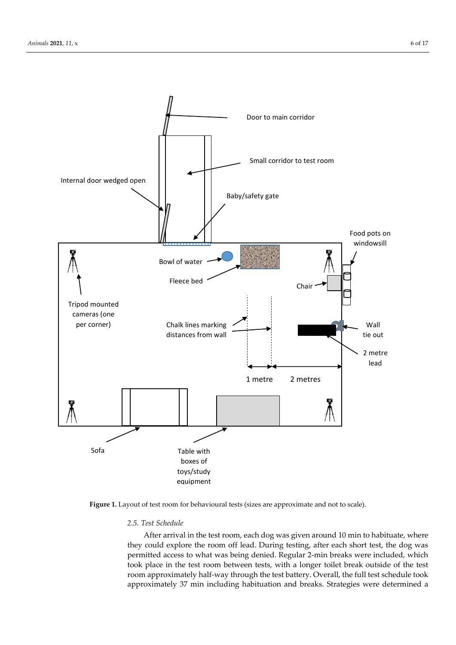

Figure 1. Layout of test room for behavioural tests (sizes are approximate and not to scale).

# *2.5. Test Schedule*

After arrival in the test room, each dog was given around 10 min to habituate, where they could explore the room off lead. During testing, after each short test, the dog was permitted access to what was being denied. Regular 2-min breaks were included, which took place in the test room between tests, with a longer toilet break outside of the test room approximately half-way through the test battery. Overall, the full test schedule took approximately 37 min including habituation and breaks. Strategies were determined a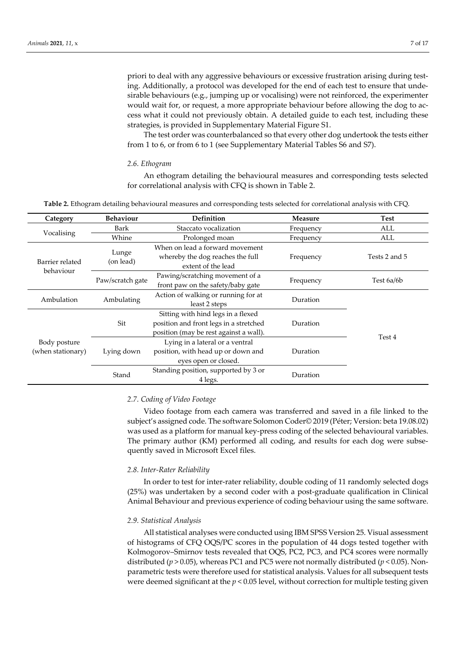priori to deal with any aggressive behaviours or excessive frustration arising during testing. Additionally, a protocol was developed for the end of each test to ensure that undesirable behaviours (e.g., jumping up or vocalising) were not reinforced, the experimenter would wait for, or request, a more appropriate behaviour before allowing the dog to access what it could not previously obtain. A detailed guide to each test, including these strategies, is provided in Supplementary Material Figure S1.

The test order was counterbalanced so that every other dog undertook the tests either from 1 to 6, or from 6 to 1 (see Supplementary Material Tables S6 and S7).

#### *2.6. Ethogram*

An ethogram detailing the behavioural measures and corresponding tests selected for correlational analysis with CFQ is shown in Table 2.

**Table 2.** Ethogram detailing behavioural measures and corresponding tests selected for correlational analysis with CFQ.

| Category                          | <b>Behaviour</b>   | <b>Definition</b>                                                                                                      | <b>Measure</b> | <b>Test</b>   |
|-----------------------------------|--------------------|------------------------------------------------------------------------------------------------------------------------|----------------|---------------|
|                                   | Bark               | Staccato vocalization                                                                                                  | Frequency      | ALL           |
| Vocalising                        | Whine              | Prolonged moan                                                                                                         | Frequency      | ALL           |
| Barrier related                   | Lunge<br>(on lead) | When on lead a forward movement<br>whereby the dog reaches the full<br>extent of the lead                              | Frequency      | Tests 2 and 5 |
| behaviour                         | Paw/scratch gate   | Pawing/scratching movement of a<br>front paw on the safety/baby gate                                                   | Frequency      | Test 6a/6b    |
| Ambulation                        | Ambulating         | Action of walking or running for at<br>least 2 steps                                                                   | Duration       |               |
|                                   | Sit                | Sitting with hind legs in a flexed<br>position and front legs in a stretched<br>position (may be rest against a wall). | Duration       | Test 4        |
| Body posture<br>(when stationary) | Lying down         | Lying in a lateral or a ventral<br>position, with head up or down and<br>eyes open or closed.                          | Duration       |               |
|                                   | Stand              | Standing position, supported by 3 or<br>4 legs.                                                                        | Duration       |               |

## *2.7. Coding of Video Footage*

Video footage from each camera was transferred and saved in a file linked to the subject's assigned code. The software Solomon Coder© 2019 (Péter; Version: beta 19.08.02) was used as a platform for manual key-press coding of the selected behavioural variables. The primary author (KM) performed all coding, and results for each dog were subsequently saved in Microsoft Excel files.

#### *2.8. Inter-Rater Reliability*

In order to test for inter-rater reliability, double coding of 11 randomly selected dogs (25%) was undertaken by a second coder with a post-graduate qualification in Clinical Animal Behaviour and previous experience of coding behaviour using the same software.

#### *2.9. Statistical Analysis*

All statistical analyses were conducted using IBM SPSS Version 25. Visual assessment of histograms of CFQ OQS/PC scores in the population of 44 dogs tested together with Kolmogorov–Smirnov tests revealed that OQS, PC2, PC3, and PC4 scores were normally distributed ( $p > 0.05$ ), whereas PC1 and PC5 were not normally distributed ( $p < 0.05$ ). Nonparametric tests were therefore used for statistical analysis. Values for all subsequent tests were deemed significant at the *p* < 0.05 level, without correction for multiple testing given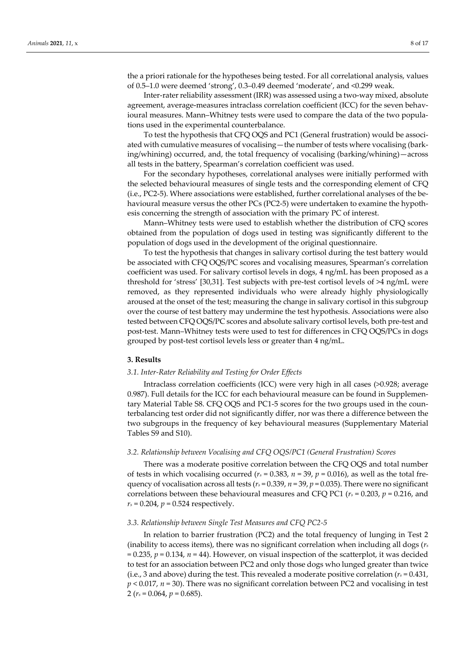the a priori rationale for the hypotheses being tested. For all correlational analysis, values of 0.5–1.0 were deemed 'strong', 0.3–0.49 deemed 'moderate', and <0.299 weak.

Inter-rater reliability assessment (IRR) was assessed using a two-way mixed, absolute agreement, average-measures intraclass correlation coefficient (ICC) for the seven behavioural measures. Mann–Whitney tests were used to compare the data of the two populations used in the experimental counterbalance.

To test the hypothesis that CFQ OQS and PC1 (General frustration) would be associated with cumulative measures of vocalising—the number of tests where vocalising (barking/whining) occurred, and, the total frequency of vocalising (barking/whining)—across all tests in the battery, Spearman's correlation coefficient was used.

For the secondary hypotheses, correlational analyses were initially performed with the selected behavioural measures of single tests and the corresponding element of CFQ (i.e., PC2-5). Where associations were established, further correlational analyses of the behavioural measure versus the other PCs (PC2-5) were undertaken to examine the hypothesis concerning the strength of association with the primary PC of interest.

Mann–Whitney tests were used to establish whether the distribution of CFQ scores obtained from the population of dogs used in testing was significantly different to the population of dogs used in the development of the original questionnaire.

To test the hypothesis that changes in salivary cortisol during the test battery would be associated with CFQ OQS/PC scores and vocalising measures, Spearman's correlation coefficient was used. For salivary cortisol levels in dogs, 4 ng/mL has been proposed as a threshold for 'stress' [30,31]. Test subjects with pre-test cortisol levels of >4 ng/mL were removed, as they represented individuals who were already highly physiologically aroused at the onset of the test; measuring the change in salivary cortisol in this subgroup over the course of test battery may undermine the test hypothesis. Associations were also tested between CFQ OQS/PC scores and absolute salivary cortisol levels, both pre-test and post-test. Mann–Whitney tests were used to test for differences in CFQ OQS/PCs in dogs grouped by post-test cortisol levels less or greater than 4 ng/mL.

#### **3. Results**

#### *3.1. Inter-Rater Reliability and Testing for Order Effects*

Intraclass correlation coefficients (ICC) were very high in all cases (>0.928; average 0.987). Full details for the ICC for each behavioural measure can be found in Supplementary Material Table S8. CFQ OQS and PC1-5 scores for the two groups used in the counterbalancing test order did not significantly differ, nor was there a difference between the two subgroups in the frequency of key behavioural measures (Supplementary Material Tables S9 and S10).

#### *3.2. Relationship between Vocalising and CFQ OQS/PC1 (General Frustration) Scores*

There was a moderate positive correlation between the CFQ OQS and total number of tests in which vocalising occurred ( $r_s$  = 0.383,  $n$  = 39,  $p$  = 0.016), as well as the total frequency of vocalisation across all tests ( $r_s$  = 0.339,  $n = 39$ ,  $p = 0.035$ ). There were no significant correlations between these behavioural measures and CFQ PC1 (*r<sup>s</sup>* = 0.203, *p* = 0.216, and  $r_s = 0.204$ ,  $p = 0.524$  respectively.

## *3.3. Relationship between Single Test Measures and CFQ PC2-5*

In relation to barrier frustration (PC2) and the total frequency of lunging in Test 2 (inability to access items), there was no significant correlation when including all dogs (*r<sup>s</sup>* = 0.235, *p* = 0.134, *n* = 44). However, on visual inspection of the scatterplot, it was decided to test for an association between PC2 and only those dogs who lunged greater than twice (i.e., 3 and above) during the test. This revealed a moderate positive correlation ( $r_s$  = 0.431, *p* < 0.017, *n* = 30). There was no significant correlation between PC2 and vocalising in test 2 (*r<sup>s</sup>* = 0.064, *p* = 0.685).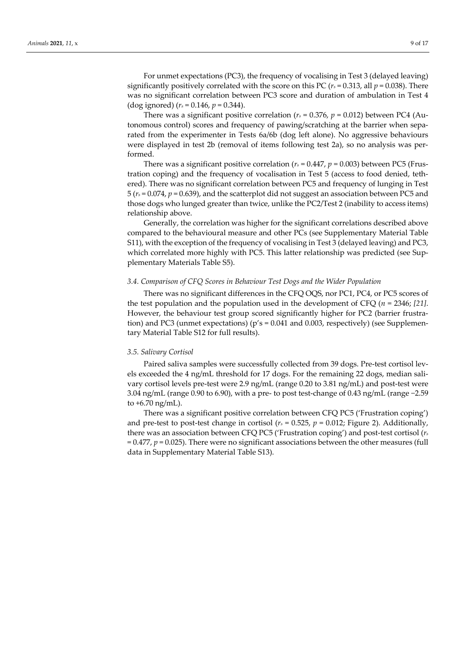For unmet expectations (PC3), the frequency of vocalising in Test 3 (delayed leaving) significantly positively correlated with the score on this PC ( $r<sub>s</sub>$  = 0.313, all  $p$  = 0.038). There was no significant correlation between PC3 score and duration of ambulation in Test 4 (dog ignored)  $(r_s = 0.146, p = 0.344)$ .

There was a significant positive correlation ( $r<sub>s</sub> = 0.376$ ,  $p = 0.012$ ) between PC4 (Autonomous control) scores and frequency of pawing/scratching at the barrier when separated from the experimenter in Tests 6a/6b (dog left alone). No aggressive behaviours were displayed in test 2b (removal of items following test 2a), so no analysis was performed.

There was a significant positive correlation ( $r<sub>s</sub> = 0.447$ ,  $p = 0.003$ ) between PC5 (Frustration coping) and the frequency of vocalisation in Test 5 (access to food denied, tethered). There was no significant correlation between PC5 and frequency of lunging in Test 5 (*r<sup>s</sup>* = 0.074, *p* = 0.639), and the scatterplot did not suggest an association between PC5 and those dogs who lunged greater than twice, unlike the PC2/Test 2 (inability to access items) relationship above.

Generally, the correlation was higher for the significant correlations described above compared to the behavioural measure and other PCs (see Supplementary Material Table S11), with the exception of the frequency of vocalising in Test 3 (delayed leaving) and PC3, which correlated more highly with PC5. This latter relationship was predicted (see Supplementary Materials Table S5).

## *3.4. Comparison of CFQ Scores in Behaviour Test Dogs and the Wider Population*

There was no significant differences in the CFQ OQS, nor PC1, PC4, or PC5 scores of the test population and the population used in the development of CFQ (*n* = 2346; *[21]*. However, the behaviour test group scored significantly higher for PC2 (barrier frustration) and PC3 (unmet expectations) ( $p's = 0.041$  and 0.003, respectively) (see Supplementary Material Table S12 for full results).

#### *3.5. Salivary Cortisol*

Paired saliva samples were successfully collected from 39 dogs. Pre-test cortisol levels exceeded the 4 ng/mL threshold for 17 dogs. For the remaining 22 dogs, median salivary cortisol levels pre-test were 2.9 ng/mL (range 0.20 to 3.81 ng/mL) and post-test were 3.04 ng/mL (range 0.90 to 6.90), with a pre- to post test-change of 0.43 ng/mL (range −2.59 to +6.70 ng/mL).

There was a significant positive correlation between CFQ PC5 ('Frustration coping') and pre-test to post-test change in cortisol ( $r_s$  = 0.525,  $p$  = 0.012; Figure 2). Additionally, there was an association between CFQ PC5 ('Frustration coping') and post-test cortisol (*r<sup>s</sup>* = 0.477, *p* = 0.025). There were no significant associations between the other measures (full data in Supplementary Material Table S13).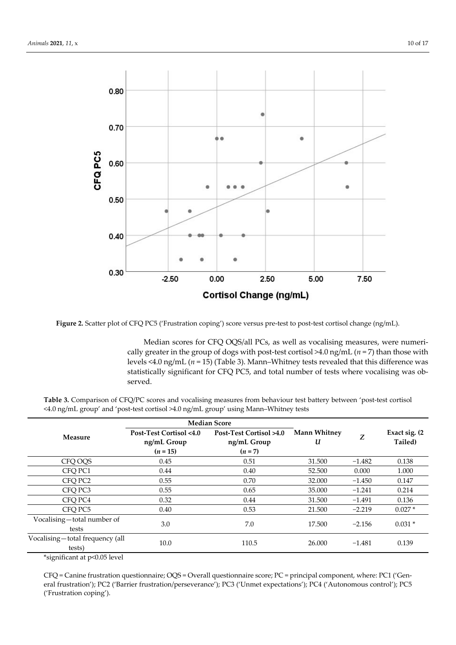

**Figure 2.** Scatter plot of CFQ PC5 ('Frustration coping') score versus pre-test to post-test cortisol change (ng/mL).

Median scores for CFQ OQS/all PCs, as well as vocalising measures, were numerically greater in the group of dogs with post-test cortisol  $\geq$ 4.0 ng/mL ( $n = 7$ ) than those with levels <4.0 ng/mL (*n* = 15) (Table 3). Mann–Whitney tests revealed that this difference was statistically significant for CFQ PC5, and total number of tests where vocalising was observed.

**Table 3.** Comparison of CFQ/PC scores and vocalising measures from behaviour test battery between 'post-test cortisol <4.0 ng/mL group' and 'post-test cortisol >4.0 ng/mL group' using Mann–Whitney tests

|                                           | <b>Median Score</b>                    |                                        |                          |          |                           |
|-------------------------------------------|----------------------------------------|----------------------------------------|--------------------------|----------|---------------------------|
| Measure                                   | Post-Test Cortisol <4.0<br>ng/mL Group | Post-Test Cortisol >4.0<br>ng/mL Group | <b>Mann Whitney</b><br>U | Z        | Exact sig. (2)<br>Tailed) |
|                                           | $(n = 15)$                             | $(n=7)$                                |                          |          |                           |
| CFO OOS                                   | 0.45                                   | 0.51                                   | 31.500                   | $-1.482$ | 0.138                     |
| CFO PC1                                   | 0.44                                   | 0.40                                   | 52.500                   | 0.000    | 1.000                     |
| CFO PC2                                   | 0.55                                   | 0.70                                   | 32.000                   | $-1.450$ | 0.147                     |
| CFO <sub>PC3</sub>                        | 0.55                                   | 0.65                                   | 35,000                   | $-1.241$ | 0.214                     |
| CFO PC4                                   | 0.32                                   | 0.44                                   | 31.500                   | $-1.491$ | 0.136                     |
| CFO PC5                                   | 0.40                                   | 0.53                                   | 21.500                   | $-2.219$ | $0.027*$                  |
| Vocalising-total number of<br>tests       | 3.0                                    | 7.0                                    | 17.500                   | $-2.156$ | $0.031*$                  |
| Vocalising—total frequency (all<br>tests) | 10.0                                   | 110.5                                  | 26,000                   | $-1.481$ | 0.139                     |

\*significant at p<0.05 level

CFQ = Canine frustration questionnaire; OQS = Overall questionnaire score; PC = principal component, where: PC1 ('General frustration'); PC2 ('Barrier frustration/perseverance'); PC3 ('Unmet expectations'); PC4 ('Autonomous control'); PC5 ('Frustration coping').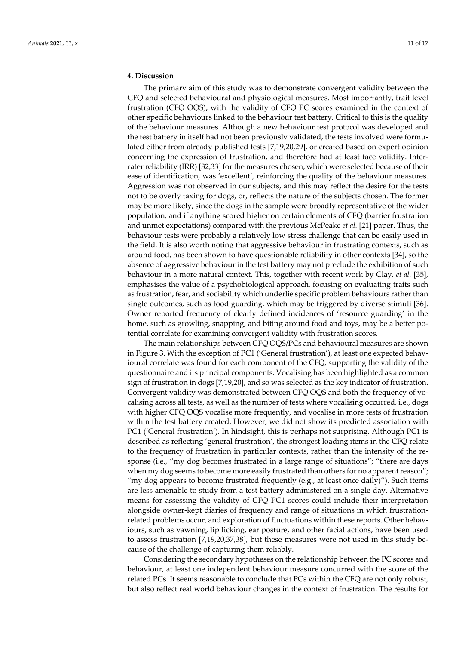## **4. Discussion**

The primary aim of this study was to demonstrate convergent validity between the CFQ and selected behavioural and physiological measures. Most importantly, trait level frustration (CFQ OQS), with the validity of CFQ PC scores examined in the context of other specific behaviours linked to the behaviour test battery. Critical to this is the quality of the behaviour measures. Although a new behaviour test protocol was developed and the test battery in itself had not been previously validated, the tests involved were formulated either from already published tests [7,19,20,29], or created based on expert opinion concerning the expression of frustration, and therefore had at least face validity. Interrater reliability (IRR) [32,33] for the measures chosen, which were selected because of their ease of identification, was 'excellent', reinforcing the quality of the behaviour measures. Aggression was not observed in our subjects, and this may reflect the desire for the tests not to be overly taxing for dogs, or, reflects the nature of the subjects chosen. The former may be more likely, since the dogs in the sample were broadly representative of the wider population, and if anything scored higher on certain elements of CFQ (barrier frustration and unmet expectations) compared with the previous McPeake *et al.* [21] paper. Thus, the behaviour tests were probably a relatively low stress challenge that can be easily used in the field. It is also worth noting that aggressive behaviour in frustrating contexts, such as around food, has been shown to have questionable reliability in other contexts [34], so the absence of aggressive behaviour in the test battery may not preclude the exhibition of such behaviour in a more natural context. This, together with recent work by Clay*, et al.* [35], emphasises the value of a psychobiological approach, focusing on evaluating traits such as frustration, fear, and sociability which underlie specific problem behaviours rather than single outcomes, such as food guarding, which may be triggered by diverse stimuli [36]. Owner reported frequency of clearly defined incidences of 'resource guarding' in the home, such as growling, snapping, and biting around food and toys, may be a better potential correlate for examining convergent validity with frustration scores.

The main relationships between CFQ OQS/PCs and behavioural measures are shown in Figure 3. With the exception of PC1 ('General frustration'), at least one expected behavioural correlate was found for each component of the CFQ, supporting the validity of the questionnaire and its principal components. Vocalising has been highlighted as a common sign of frustration in dogs [7,19,20], and so was selected as the key indicator of frustration. Convergent validity was demonstrated between CFQ OQS and both the frequency of vocalising across all tests, as well as the number of tests where vocalising occurred, i.e., dogs with higher CFQ OQS vocalise more frequently, and vocalise in more tests of frustration within the test battery created. However, we did not show its predicted association with PC1 ('General frustration'). In hindsight, this is perhaps not surprising. Although PC1 is described as reflecting 'general frustration', the strongest loading items in the CFQ relate to the frequency of frustration in particular contexts, rather than the intensity of the response (i.e., "my dog becomes frustrated in a large range of situations"; "there are days when my dog seems to become more easily frustrated than others for no apparent reason"; "my dog appears to become frustrated frequently (e.g., at least once daily)"). Such items are less amenable to study from a test battery administered on a single day. Alternative means for assessing the validity of CFQ PC1 scores could include their interpretation alongside owner-kept diaries of frequency and range of situations in which frustrationrelated problems occur, and exploration of fluctuations within these reports. Other behaviours, such as yawning, lip licking, ear posture, and other facial actions, have been used to assess frustration [7,19,20,37,38], but these measures were not used in this study because of the challenge of capturing them reliably.

Considering the secondary hypotheses on the relationship between the PC scores and behaviour, at least one independent behaviour measure concurred with the score of the related PCs. It seems reasonable to conclude that PCs within the CFQ are not only robust, but also reflect real world behaviour changes in the context of frustration. The results for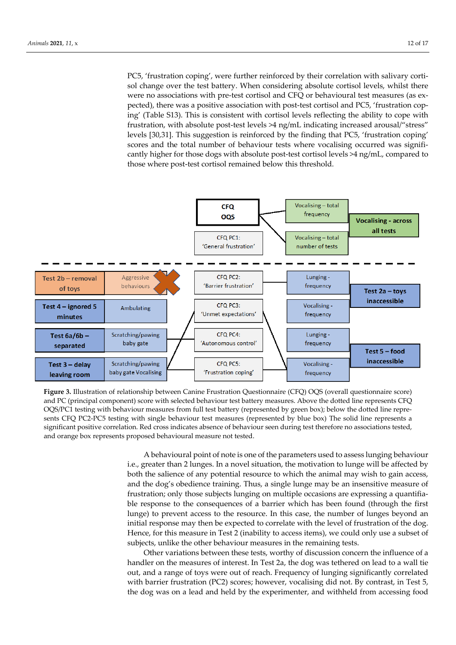PC5, 'frustration coping', were further reinforced by their correlation with salivary cortisol change over the test battery. When considering absolute cortisol levels, whilst there were no associations with pre-test cortisol and CFQ or behavioural test measures (as expected), there was a positive association with post-test cortisol and PC5, 'frustration coping' (Table S13). This is consistent with cortisol levels reflecting the ability to cope with frustration, with absolute post-test levels >4 ng/mL indicating increased arousal/"stress" levels [30,31]. This suggestion is reinforced by the finding that PC5, 'frustration coping' scores and the total number of behaviour tests where vocalising occurred was significantly higher for those dogs with absolute post-test cortisol levels >4 ng/mL, compared to those where post-test cortisol remained below this threshold.



**Figure 3.** Illustration of relationship between Canine Frustration Questionnaire (CFQ) OQS (overall questionnaire score) and PC (principal component) score with selected behaviour test battery measures. Above the dotted line represents CFQ OQS/PC1 testing with behaviour measures from full test battery (represented by green box); below the dotted line represents CFQ PC2-PC5 testing with single behaviour test measures (represented by blue box) The solid line represents a significant positive correlation. Red cross indicates absence of behaviour seen during test therefore no associations tested, and orange box represents proposed behavioural measure not tested.

> A behavioural point of note is one of the parameters used to assess lunging behaviour i.e., greater than 2 lunges. In a novel situation, the motivation to lunge will be affected by both the salience of any potential resource to which the animal may wish to gain access, and the dog's obedience training. Thus, a single lunge may be an insensitive measure of frustration; only those subjects lunging on multiple occasions are expressing a quantifiable response to the consequences of a barrier which has been found (through the first lunge) to prevent access to the resource. In this case, the number of lunges beyond an initial response may then be expected to correlate with the level of frustration of the dog. Hence, for this measure in Test 2 (inability to access items), we could only use a subset of subjects, unlike the other behaviour measures in the remaining tests.

> Other variations between these tests, worthy of discussion concern the influence of a handler on the measures of interest. In Test 2a, the dog was tethered on lead to a wall tie out, and a range of toys were out of reach. Frequency of lunging significantly correlated with barrier frustration (PC2) scores; however, vocalising did not. By contrast, in Test 5, the dog was on a lead and held by the experimenter, and withheld from accessing food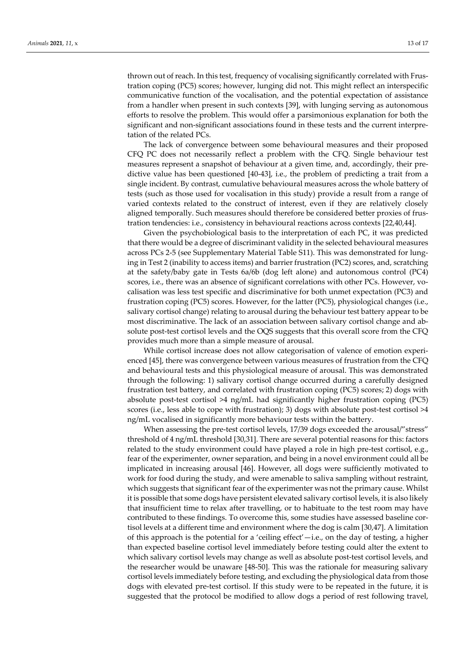thrown out of reach. In this test, frequency of vocalising significantly correlated with Frustration coping (PC5) scores; however, lunging did not. This might reflect an interspecific communicative function of the vocalisation, and the potential expectation of assistance from a handler when present in such contexts [39], with lunging serving as autonomous efforts to resolve the problem. This would offer a parsimonious explanation for both the significant and non-significant associations found in these tests and the current interpretation of the related PCs.

The lack of convergence between some behavioural measures and their proposed CFQ PC does not necessarily reflect a problem with the CFQ. Single behaviour test measures represent a snapshot of behaviour at a given time, and, accordingly, their predictive value has been questioned [40-43], i.e., the problem of predicting a trait from a single incident. By contrast, cumulative behavioural measures across the whole battery of tests (such as those used for vocalisation in this study) provide a result from a range of varied contexts related to the construct of interest, even if they are relatively closely aligned temporally. Such measures should therefore be considered better proxies of frustration tendencies: i.e., consistency in behavioural reactions across contexts [22,40,44].

Given the psychobiological basis to the interpretation of each PC, it was predicted that there would be a degree of discriminant validity in the selected behavioural measures across PCs 2-5 (see Supplementary Material Table S11). This was demonstrated for lunging in Test 2 (inability to access items) and barrier frustration (PC2) scores, and, scratching at the safety/baby gate in Tests 6a/6b (dog left alone) and autonomous control (PC4) scores, i.e., there was an absence of significant correlations with other PCs. However, vocalisation was less test specific and discriminative for both unmet expectation (PC3) and frustration coping (PC5) scores. However, for the latter (PC5), physiological changes (i.e., salivary cortisol change) relating to arousal during the behaviour test battery appear to be most discriminative. The lack of an association between salivary cortisol change and absolute post-test cortisol levels and the OQS suggests that this overall score from the CFQ provides much more than a simple measure of arousal.

While cortisol increase does not allow categorisation of valence of emotion experienced [45], there was convergence between various measures of frustration from the CFQ and behavioural tests and this physiological measure of arousal. This was demonstrated through the following: 1) salivary cortisol change occurred during a carefully designed frustration test battery, and correlated with frustration coping (PC5) scores; 2) dogs with absolute post-test cortisol >4 ng/mL had significantly higher frustration coping (PC5) scores (i.e., less able to cope with frustration); 3) dogs with absolute post-test cortisol >4 ng/mL vocalised in significantly more behaviour tests within the battery.

When assessing the pre-test cortisol levels, 17/39 dogs exceeded the arousal/"stress" threshold of 4 ng/mL threshold [30,31]. There are several potential reasons for this: factors related to the study environment could have played a role in high pre-test cortisol, e.g., fear of the experimenter, owner separation, and being in a novel environment could all be implicated in increasing arousal [46]. However, all dogs were sufficiently motivated to work for food during the study, and were amenable to saliva sampling without restraint, which suggests that significant fear of the experimenter was not the primary cause. Whilst it is possible that some dogs have persistent elevated salivary cortisol levels, it is also likely that insufficient time to relax after travelling, or to habituate to the test room may have contributed to these findings. To overcome this, some studies have assessed baseline cortisol levels at a different time and environment where the dog is calm [30,47]. A limitation of this approach is the potential for a 'ceiling effect'—i.e., on the day of testing, a higher than expected baseline cortisol level immediately before testing could alter the extent to which salivary cortisol levels may change as well as absolute post-test cortisol levels, and the researcher would be unaware [48-50]. This was the rationale for measuring salivary cortisol levels immediately before testing, and excluding the physiological data from those dogs with elevated pre-test cortisol. If this study were to be repeated in the future, it is suggested that the protocol be modified to allow dogs a period of rest following travel,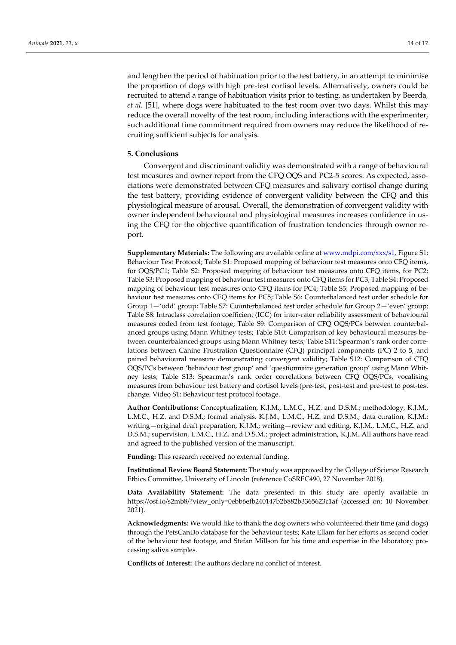and lengthen the period of habituation prior to the test battery, in an attempt to minimise the proportion of dogs with high pre-test cortisol levels. Alternatively, owners could be recruited to attend a range of habituation visits prior to testing, as undertaken by Beerda*, et al.* [51], where dogs were habituated to the test room over two days. Whilst this may reduce the overall novelty of the test room, including interactions with the experimenter, such additional time commitment required from owners may reduce the likelihood of recruiting sufficient subjects for analysis.

## **5. Conclusions**

Convergent and discriminant validity was demonstrated with a range of behavioural test measures and owner report from the CFQ OQS and PC2-5 scores. As expected, associations were demonstrated between CFQ measures and salivary cortisol change during the test battery, providing evidence of convergent validity between the CFQ and this physiological measure of arousal. Overall, the demonstration of convergent validity with owner independent behavioural and physiological measures increases confidence in using the CFQ for the objective quantification of frustration tendencies through owner report.

**Supplementary Materials:** The following are available online a[t www.mdpi.com/xxx/s1,](http://www.mdpi.com/xxx/s1) Figure S1: Behaviour Test Protocol; Table S1: Proposed mapping of behaviour test measures onto CFQ items, for OQS/PC1; Table S2: Proposed mapping of behaviour test measures onto CFQ items, for PC2; Table S3: Proposed mapping of behaviour test measures onto CFQ items for PC3; Table S4: Proposed mapping of behaviour test measures onto CFQ items for PC4; Table S5: Proposed mapping of behaviour test measures onto CFQ items for PC5; Table S6: Counterbalanced test order schedule for Group 1—'odd' group; Table S7: Counterbalanced test order schedule for Group 2—'even' group; Table S8: Intraclass correlation coefficient (ICC) for inter-rater reliability assessment of behavioural measures coded from test footage; Table S9: Comparison of CFQ OQS/PCs between counterbalanced groups using Mann Whitney tests; Table S10: Comparison of key behavioural measures between counterbalanced groups using Mann Whitney tests; Table S11: Spearman's rank order correlations between Canine Frustration Questionnaire (CFQ) principal components (PC) 2 to 5, and paired behavioural measure demonstrating convergent validity; Table S12: Comparison of CFQ OQS/PCs between 'behaviour test group' and 'questionnaire generation group' using Mann Whitney tests; Table S13: Spearman's rank order correlations between CFQ OQS/PCs, vocalising measures from behaviour test battery and cortisol levels (pre-test, post-test and pre-test to post-test change. Video S1: Behaviour test protocol footage.

**Author Contributions:** Conceptualization, K.J.M., L.M.C., H.Z. and D.S.M.; methodology, K.J.M., L.M.C., H.Z. and D.S.M.; formal analysis, K.J.M., L.M.C., H.Z. and D.S.M.; data curation, K.J.M.; writing—original draft preparation, K.J.M.; writing—review and editing, K.J.M., L.M.C., H.Z. and D.S.M.; supervision, L.M.C., H.Z. and D.S.M.; project administration, K.J.M. All authors have read and agreed to the published version of the manuscript.

**Funding:** This research received no external funding.

**Institutional Review Board Statement:** The study was approved by the College of Science Research Ethics Committee, University of Lincoln (reference CoSREC490, 27 November 2018).

**Data Availability Statement:** The data presented in this study are openly available in [https://osf.io/s2mb8/?view\\_only=0ebb6efb240147b2b882b3365623c1af](https://osf.io/s2mb8/?view_only=0ebb6efb240147b2b882b3365623c1af) (accessed on: 10 November 2021).

**Acknowledgments:** We would like to thank the dog owners who volunteered their time (and dogs) through the PetsCanDo database for the behaviour tests; Kate Ellam for her efforts as second coder of the behaviour test footage, and Stefan Millson for his time and expertise in the laboratory processing saliva samples.

**Conflicts of Interest:** The authors declare no conflict of interest.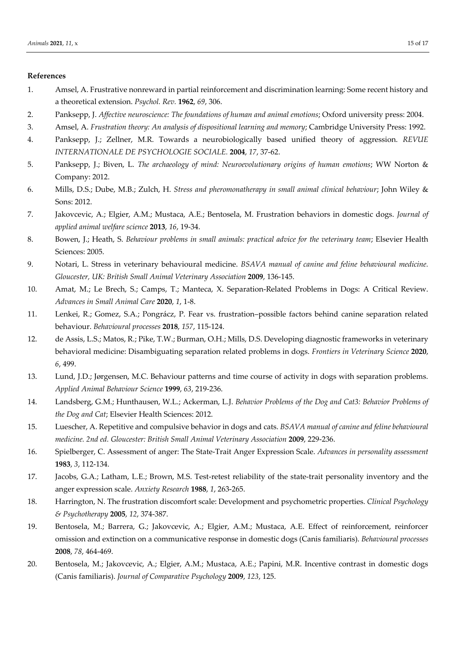## **References**

- 1. Amsel, A. Frustrative nonreward in partial reinforcement and discrimination learning: Some recent history and a theoretical extension. *Psychol. Rev.* **1962**, *69*, 306.
- 2. Panksepp, J. *Affective neuroscience: The foundations of human and animal emotions*; Oxford university press: 2004.
- 3. Amsel, A. *Frustration theory: An analysis of dispositional learning and memory*; Cambridge University Press: 1992.
- 4. Panksepp, J.; Zellner, M.R. Towards a neurobiologically based unified theory of aggression. *REVUE INTERNATIONALE DE PSYCHOLOGIE SOCIALE.* **2004**, *17*, 37-62.
- 5. Panksepp, J.; Biven, L. *The archaeology of mind: Neuroevolutionary origins of human emotions*; WW Norton & Company: 2012.
- 6. Mills, D.S.; Dube, M.B.; Zulch, H. *Stress and pheromonatherapy in small animal clinical behaviour*; John Wiley & Sons: 2012.
- 7. Jakovcevic, A.; Elgier, A.M.; Mustaca, A.E.; Bentosela, M. Frustration behaviors in domestic dogs. *Journal of applied animal welfare science* **2013**, *16*, 19-34.
- 8. Bowen, J.; Heath, S. *Behaviour problems in small animals: practical advice for the veterinary team*; Elsevier Health Sciences: 2005.
- 9. Notari, L. Stress in veterinary behavioural medicine. *BSAVA manual of canine and feline behavioural medicine. Gloucester, UK: British Small Animal Veterinary Association* **2009**, 136-145.
- 10. Amat, M.; Le Brech, S.; Camps, T.; Manteca, X. Separation-Related Problems in Dogs: A Critical Review. *Advances in Small Animal Care* **2020**, *1*, 1-8.
- 11. Lenkei, R.; Gomez, S.A.; Pongrácz, P. Fear vs. frustration–possible factors behind canine separation related behaviour. *Behavioural processes* **2018**, *157*, 115-124.
- 12. de Assis, L.S.; Matos, R.; Pike, T.W.; Burman, O.H.; Mills, D.S. Developing diagnostic frameworks in veterinary behavioral medicine: Disambiguating separation related problems in dogs. *Frontiers in Veterinary Science* **2020**, *6*, 499.
- 13. Lund, J.D.; Jørgensen, M.C. Behaviour patterns and time course of activity in dogs with separation problems. *Applied Animal Behaviour Science* **1999**, *63*, 219-236.
- 14. Landsberg, G.M.; Hunthausen, W.L.; Ackerman, L.J. *Behavior Problems of the Dog and Cat3: Behavior Problems of the Dog and Cat*; Elsevier Health Sciences: 2012.
- 15. Luescher, A. Repetitive and compulsive behavior in dogs and cats. *BSAVA manual of canine and feline behavioural medicine. 2nd ed. Gloucester: British Small Animal Veterinary Association* **2009**, 229-236.
- 16. Spielberger, C. Assessment of anger: The State-Trait Anger Expression Scale. *Advances in personality assessment*  **1983**, *3*, 112-134.
- 17. Jacobs, G.A.; Latham, L.E.; Brown, M.S. Test-retest reliability of the state-trait personality inventory and the anger expression scale. *Anxiety Research* **1988**, *1*, 263-265.
- 18. Harrington, N. The frustration discomfort scale: Development and psychometric properties. *Clinical Psychology & Psychotherapy* **2005**, *12*, 374-387.
- 19. Bentosela, M.; Barrera, G.; Jakovcevic, A.; Elgier, A.M.; Mustaca, A.E. Effect of reinforcement, reinforcer omission and extinction on a communicative response in domestic dogs (Canis familiaris). *Behavioural processes*  **2008**, *78*, 464-469.
- 20. Bentosela, M.; Jakovcevic, A.; Elgier, A.M.; Mustaca, A.E.; Papini, M.R. Incentive contrast in domestic dogs (Canis familiaris). *Journal of Comparative Psychology* **2009**, *123*, 125.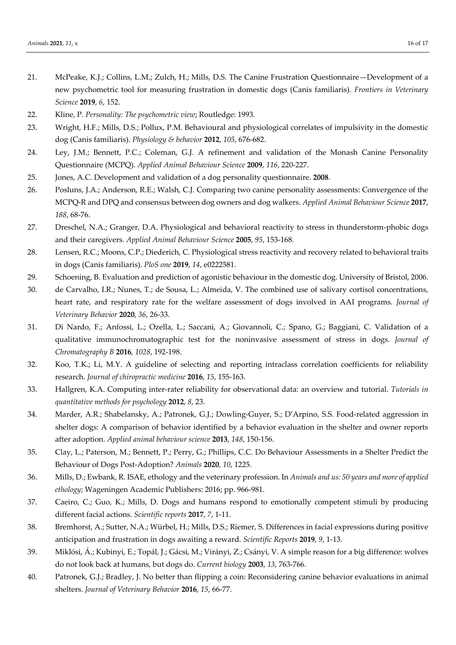- 21. McPeake, K.J.; Collins, L.M.; Zulch, H.; Mills, D.S. The Canine Frustration Questionnaire—Development of a new psychometric tool for measuring frustration in domestic dogs (Canis familiaris). *Frontiers in Veterinary Science* **2019**, *6*, 152.
- 22. Kline, P. *Personality: The psychometric view*; Routledge: 1993.
- 23. Wright, H.F.; Mills, D.S.; Pollux, P.M. Behavioural and physiological correlates of impulsivity in the domestic dog (Canis familiaris). *Physiology & behavior* **2012**, *105*, 676-682.
- 24. Ley, J.M.; Bennett, P.C.; Coleman, G.J. A refinement and validation of the Monash Canine Personality Questionnaire (MCPQ). *Applied Animal Behaviour Science* **2009**, *116*, 220-227.
- 25. Jones, A.C. Development and validation of a dog personality questionnaire. **2008**.
- 26. Posluns, J.A.; Anderson, R.E.; Walsh, C.J. Comparing two canine personality assessments: Convergence of the MCPQ-R and DPQ and consensus between dog owners and dog walkers. *Applied Animal Behaviour Science* **2017**, *188*, 68-76.
- 27. Dreschel, N.A.; Granger, D.A. Physiological and behavioral reactivity to stress in thunderstorm-phobic dogs and their caregivers. *Applied Animal Behaviour Science* **2005**, *95*, 153-168.
- 28. Lensen, R.C.; Moons, C.P.; Diederich, C. Physiological stress reactivity and recovery related to behavioral traits in dogs (Canis familiaris). *PloS one* **2019**, *14*, e0222581.
- 29. Schoening, B. Evaluation and prediction of agonistic behaviour in the domestic dog. University of Bristol, 2006.
- 30. de Carvalho, I.R.; Nunes, T.; de Sousa, L.; Almeida, V. The combined use of salivary cortisol concentrations, heart rate, and respiratory rate for the welfare assessment of dogs involved in AAI programs. *Journal of Veterinary Behavior* **2020**, *36*, 26-33.
- 31. Di Nardo, F.; Anfossi, L.; Ozella, L.; Saccani, A.; Giovannoli, C.; Spano, G.; Baggiani, C. Validation of a qualitative immunochromatographic test for the noninvasive assessment of stress in dogs. *Journal of Chromatography B* **2016**, *1028*, 192-198.
- 32. Koo, T.K.; Li, M.Y. A guideline of selecting and reporting intraclass correlation coefficients for reliability research. *Journal of chiropractic medicine* **2016**, *15*, 155-163.
- 33. Hallgren, K.A. Computing inter-rater reliability for observational data: an overview and tutorial. *Tutorials in quantitative methods for psychology* **2012**, *8*, 23.
- 34. Marder, A.R.; Shabelansky, A.; Patronek, G.J.; Dowling-Guyer, S.; D'Arpino, S.S. Food-related aggression in shelter dogs: A comparison of behavior identified by a behavior evaluation in the shelter and owner reports after adoption. *Applied animal behaviour science* **2013**, *148*, 150-156.
- 35. Clay, L.; Paterson, M.; Bennett, P.; Perry, G.; Phillips, C.C. Do Behaviour Assessments in a Shelter Predict the Behaviour of Dogs Post-Adoption? *Animals* **2020**, *10*, 1225.
- 36. Mills, D.; Ewbank, R. ISAE, ethology and the veterinary profession. In *Animals and us: 50 years and more of applied ethology*; Wageningen Academic Publishers: 2016; pp. 966-981.
- 37. Caeiro, C.; Guo, K.; Mills, D. Dogs and humans respond to emotionally competent stimuli by producing different facial actions. *Scientific reports* **2017**, *7*, 1-11.
- 38. Bremhorst, A.; Sutter, N.A.; Würbel, H.; Mills, D.S.; Riemer, S. Differences in facial expressions during positive anticipation and frustration in dogs awaiting a reward. *Scientific Reports* **2019**, *9*, 1-13.
- 39. Miklósi, Á.; Kubinyi, E.; Topál, J.; Gácsi, M.; Virányi, Z.; Csányi, V. A simple reason for a big difference: wolves do not look back at humans, but dogs do. *Current biology* **2003**, *13*, 763-766.
- 40. Patronek, G.J.; Bradley, J. No better than flipping a coin: Reconsidering canine behavior evaluations in animal shelters. *Journal of Veterinary Behavior* **2016**, *15*, 66-77.